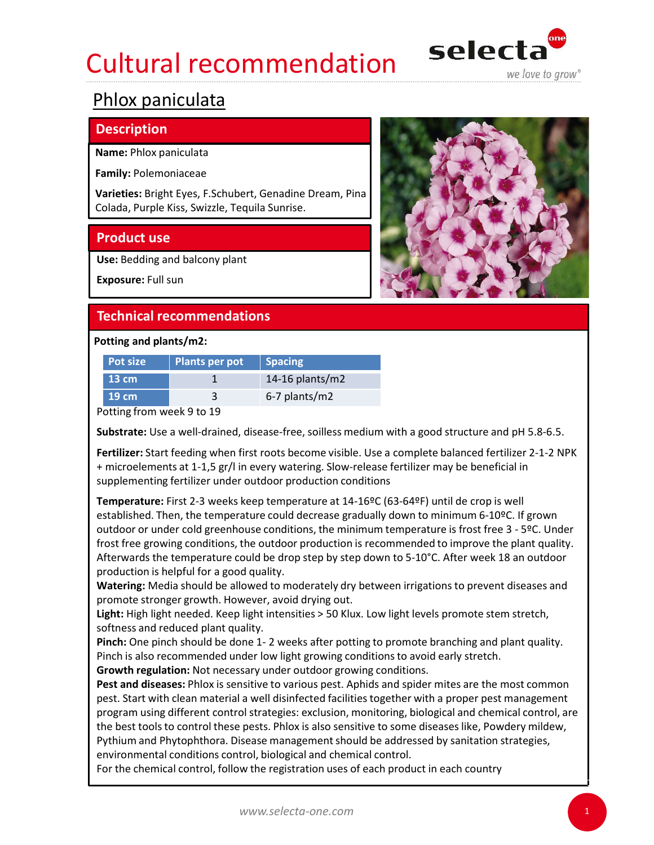## Cultural recommendation selecta Cultural recommendation<br>
Phlox paniculata<br>
Phlox paniculata<br>
Pamily: Polemoniaceae<br>
Varieties: Bright Eyes, F.Schubert, Genadine Dream, Pina<br>
Colada, Purple Kiss, Swizzle, Tequila Sunrise.<br>
Product use<br>
Use: Bedding and ba



## Phlox paniculata

## **Description**

# Cultural recommendation<br>
Phlox paniculata<br>
Pescription<br>
Name: Phlox paniculata<br>
Family: Polemoniaceae<br>
Varieties: Bright Eyes, F.Schubert, Genadine Dream, Pina<br>
Colada, Purple Kiss, Swizzle, Tequila Sunrise.<br>
Product use<br>

|                           |                                                | Cultural recommendation                                  | seiecta<br>we love to grow®                                                                             |
|---------------------------|------------------------------------------------|----------------------------------------------------------|---------------------------------------------------------------------------------------------------------|
| Phlox paniculata          |                                                |                                                          |                                                                                                         |
| <b>Description</b>        |                                                |                                                          |                                                                                                         |
| Name: Phlox paniculata    |                                                |                                                          |                                                                                                         |
| Family: Polemoniaceae     |                                                |                                                          |                                                                                                         |
|                           | Colada, Purple Kiss, Swizzle, Tequila Sunrise. | Varieties: Bright Eyes, F.Schubert, Genadine Dream, Pina |                                                                                                         |
| <b>Product use</b>        |                                                |                                                          |                                                                                                         |
|                           | Use: Bedding and balcony plant                 |                                                          |                                                                                                         |
| Exposure: Full sun        |                                                |                                                          |                                                                                                         |
|                           | <b>Technical recommendations</b>               |                                                          |                                                                                                         |
| Potting and plants/m2:    |                                                |                                                          |                                                                                                         |
| <b>Pot size</b>           | <b>Plants per pot</b>                          | <b>Spacing</b>                                           |                                                                                                         |
| <b>13 cm</b>              | 1                                              | 14-16 plants/ $m2$                                       |                                                                                                         |
| 19 cm                     | 3                                              | 6-7 plants/m2                                            |                                                                                                         |
| Potting from week 9 to 19 |                                                |                                                          |                                                                                                         |
|                           |                                                |                                                          | Substrate: Use a well-drained, disease-free, soilless medium with a good structure and pH 5.8-6.5.      |
|                           |                                                |                                                          | Fertilizer: Start feeding when first roots become visible. Use a complete balanced fertilizer 2-1-2 NPK |

ESCRIPTION<br>
Imily: Polemoniaceae<br>
Ida, Purple Kiss, Swizzle, Tequila Sunrise.<br>
Ida, Purple Kiss, Swizzle, Tequila Sunrise.<br>
Coduct use<br>
Coduct use<br>
Coduct use<br>
Coduct use<br>
Incorporations<br>
Incorporations<br>
Incorporations<br>
In Fertilizer: Start feeding when first roots become visible. Use a complete balanced fertilizer 2-1-2 NPK + microelements at 1-1,5 gr/l in every watering. Slow-release fertilizer may be beneficial in supplementing fertilizer under outdoor production conditions

Temperature: First 2-3 weeks keep temperature at 14-16ºC (63-64ºF) until de crop is well established. Then, the temperature could decrease gradually down to minimum 6-10ºC. If grown **SEXECT THE COMMUNIMERY CONDUCT CONDUCT CONDUCT CONDUCT**<br> **Exposure:** Full sun<br> **Exposure:** Full sun<br> **Exposure:** Plants per pot<br> **Plants** per pot<br> **Exposure:** The minimum temperature of the minimum temperature and pH 5.8frost free growing conditions, the outdoor production is recommended to improve the plant quality. Afterwards the temperature could be drop step by step down to 5-10°C. After week 18 an outdoor production is helpful for a good quality. 13 cm<br>
13 cm<br>
Potting from week 9 to 19<br>
Substrate: Use a well-drained, disease-free, soilless medium with a good structure and pH 5.8-6.5.<br>
Fertilizer: Start feeding when first roots become visible. Use a complete balance

Watering: Media should be allowed to moderately dry between irrigations to prevent diseases and promote stronger growth. However, avoid drying out.

Light: High light needed. Keep light intensities > 50 Klux. Low light levels promote stem stretch, softness and reduced plant quality.

Pinch is also recommended under low light growing conditions to avoid early stretch.

Growth regulation: Not necessary under outdoor growing conditions.

Pest and diseases: Phlox is sensitive to various pest. Aphids and spider mites are the most common pest. Start with clean material a well disinfected facilities together with a proper pest management program using different control strategies: exclusion, monitoring, biological and chemical control, are the best tools to control these pests. Phlox is also sensitive to some diseases like, Powdery mildew, Pythium and Phytophthora. Disease management should be addressed by sanitation strategies, environmental conditions control, biological and chemical control.

For the chemical control, follow the registration uses of each product in each country

1